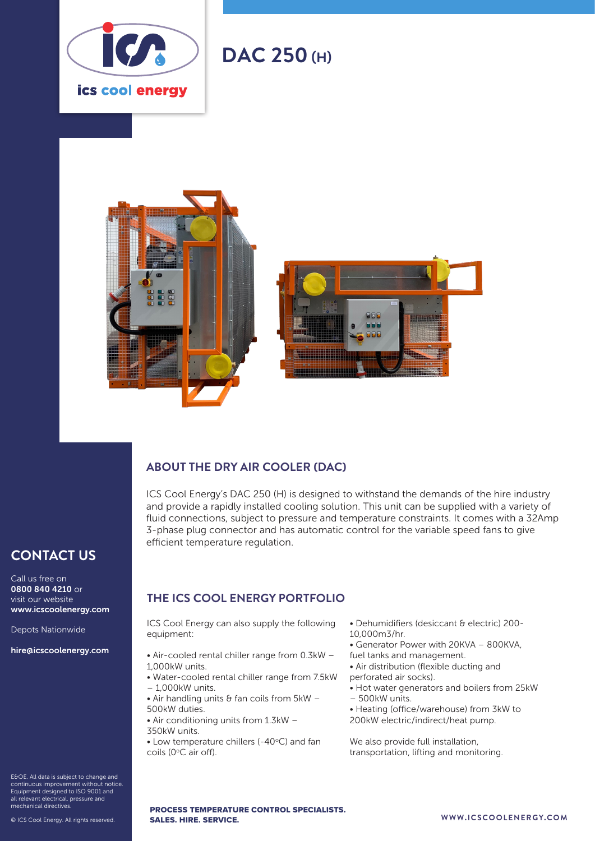

# **DAC 250 (H)**





### **ABOUT THE DRY AIR COOLER (DAC)**

ICS Cool Energy's DAC 250 (H) is designed to withstand the demands of the hire industry and provide a rapidly installed cooling solution. This unit can be supplied with a variety of fluid connections, subject to pressure and temperature constraints. It comes with a 32Amp 3-phase plug connector and has automatic control for the variable speed fans to give efficient temperature regulation.

## **CONTACT US**

Call us free on 0800 840 4210 or visit our website www.icscoolenergy.com

Depots Nationwide

hire@icscoolenergy.com

- E&OE. All data is subject to change and continuous improvement without notice. Equipment designed to ISO 9001 and all relevant electrical, pressure and mechanical directives.
- 

#### **THE ICS COOL ENERGY PORTFOLIO**

ICS Cool Energy can also supply the following equipment:

- Air-cooled rental chiller range from 0.3kW 1,000kW units.
- Water-cooled rental chiller range from 7.5kW – 1,000kW units.
- Air handling units  $\theta$  fan coils from  $5kW -$ 500kW duties.
- Air conditioning units from 1.3kW 350kW units.
- $\bullet$  Low temperature chillers (-40 $\degree$ C) and fan coils (0°C air off).
- Dehumidifiers (desiccant & electric) 200- 10,000m3/hr.
- Generator Power with 20KVA 800KVA,
- fuel tanks and management.
- Air distribution (flexible ducting and
- perforated air socks).
- Hot water generators and boilers from 25kW – 500kW units.
- 
- Heating (office/warehouse) from 3kW to 200kW electric/indirect/heat pump.

We also provide full installation, transportation, lifting and monitoring.

#### © ICS Cool Energy. All rights reserved. **WWW.ICSCOOLENERGY.COM** PROCESS TEMPERATURE CONTROL SPECIALISTS. SALES. HIRE. SERVICE.